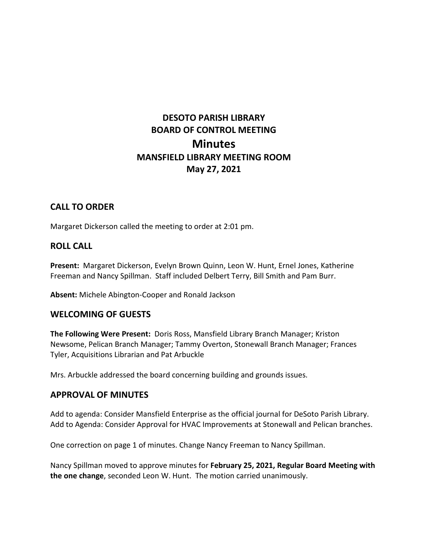# **DESOTO PARISH LIBRARY BOARD OF CONTROL MEETING Minutes MANSFIELD LIBRARY MEETING ROOM May 27, 2021**

# **CALL TO ORDER**

Margaret Dickerson called the meeting to order at 2:01 pm.

## **ROLL CALL**

**Present:** Margaret Dickerson, Evelyn Brown Quinn, Leon W. Hunt, Ernel Jones, Katherine Freeman and Nancy Spillman. Staff included Delbert Terry, Bill Smith and Pam Burr.

**Absent:** Michele Abington-Cooper and Ronald Jackson

### **WELCOMING OF GUESTS**

**The Following Were Present:** Doris Ross, Mansfield Library Branch Manager; Kriston Newsome, Pelican Branch Manager; Tammy Overton, Stonewall Branch Manager; Frances Tyler, Acquisitions Librarian and Pat Arbuckle

Mrs. Arbuckle addressed the board concerning building and grounds issues.

### **APPROVAL OF MINUTES**

Add to agenda: Consider Mansfield Enterprise as the official journal for DeSoto Parish Library. Add to Agenda: Consider Approval for HVAC Improvements at Stonewall and Pelican branches.

One correction on page 1 of minutes. Change Nancy Freeman to Nancy Spillman.

Nancy Spillman moved to approve minutes for **February 25, 2021, Regular Board Meeting with the one change**, seconded Leon W. Hunt. The motion carried unanimously.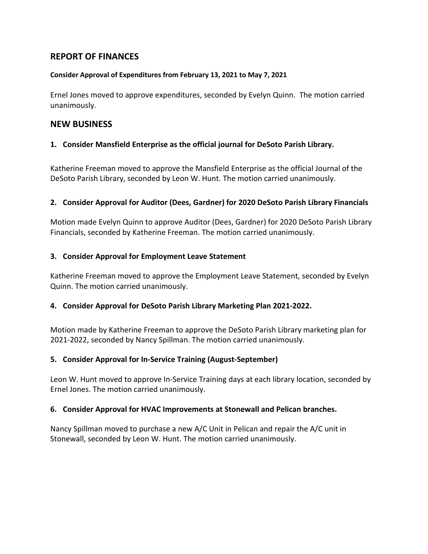# **REPORT OF FINANCES**

#### **Consider Approval of Expenditures from February 13, 2021 to May 7, 2021**

Ernel Jones moved to approve expenditures, seconded by Evelyn Quinn. The motion carried unanimously.

## **NEW BUSINESS**

### **1. Consider Mansfield Enterprise as the official journal for DeSoto Parish Library.**

Katherine Freeman moved to approve the Mansfield Enterprise as the official Journal of the DeSoto Parish Library, seconded by Leon W. Hunt. The motion carried unanimously.

#### **2. Consider Approval for Auditor (Dees, Gardner) for 2020 DeSoto Parish Library Financials**

Motion made Evelyn Quinn to approve Auditor (Dees, Gardner) for 2020 DeSoto Parish Library Financials, seconded by Katherine Freeman. The motion carried unanimously.

#### **3. Consider Approval for Employment Leave Statement**

Katherine Freeman moved to approve the Employment Leave Statement, seconded by Evelyn Quinn. The motion carried unanimously.

### **4. Consider Approval for DeSoto Parish Library Marketing Plan 2021-2022.**

Motion made by Katherine Freeman to approve the DeSoto Parish Library marketing plan for 2021-2022, seconded by Nancy Spillman. The motion carried unanimously.

### **5. Consider Approval for In-Service Training (August-September)**

Leon W. Hunt moved to approve In-Service Training days at each library location, seconded by Ernel Jones. The motion carried unanimously.

### **6. Consider Approval for HVAC Improvements at Stonewall and Pelican branches.**

Nancy Spillman moved to purchase a new A/C Unit in Pelican and repair the A/C unit in Stonewall, seconded by Leon W. Hunt. The motion carried unanimously.